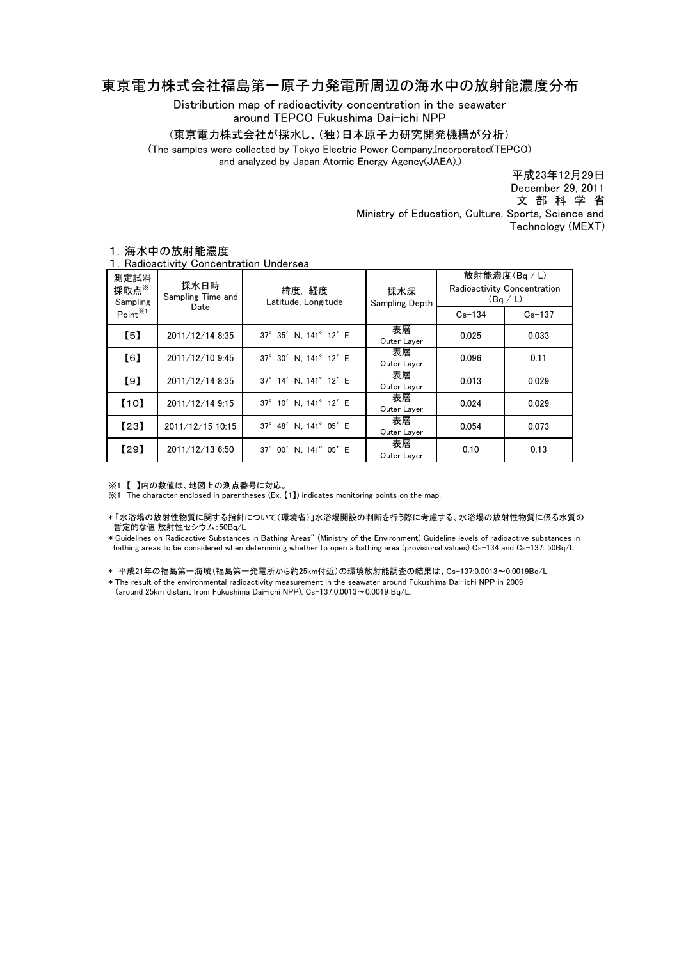## 東京電力株式会社福島第一原子力発電所周辺の海水中の放射能濃度分布

Distribution map of radioactivity concentration in the seawater around TEPCO Fukushima Dai-ichi NPP

(東京電力株式会社が採水し、(独)日本原子力研究開発機構が分析)

(The samples were collected by Tokyo Electric Power Company,Incorporated(TEPCO)

and analyzed by Japan Atomic Energy Agency(JAEA).)

平成23年12月29日 文 部 科 学 省 December 29, 2011 Ministry of Education, Culture, Sports, Science and Technology (MEXT)

| 測定試料<br>採取点 $*$<br>Sampling<br>Point <sup>※1</sup> | 採水日時<br>Sampling Time and<br>Date | 緯度,経度<br>Latitude, Longitude | 採水深<br>Sampling Depth | 放射能濃度(Bg/L)<br>Radioactivity Concentration<br>(Bq/L) |            |
|----------------------------------------------------|-----------------------------------|------------------------------|-----------------------|------------------------------------------------------|------------|
|                                                    |                                   |                              |                       | $Cs - 134$                                           | $Cs - 137$ |
| $\left[5\right]$                                   | 2011/12/14 8:35                   | 37° 35' N. 141° 12' E        | 表層<br>Outer Layer     | 0.025                                                | 0.033      |
| [6]                                                | 2011/12/10 9:45                   | 37° 30' N, 141° 12' E        | 表層<br>Outer Layer     | 0.096                                                | 0.11       |
| [9]                                                | 2011/12/14 8:35                   | 37° 14' N. 141° 12' E        | 表層<br>Outer Layer     | 0.013                                                | 0.029      |
| [10]                                               | 2011/12/14 9:15                   | 37° 10' N. 141° 12' E        | 表層<br>Outer Layer     | 0.024                                                | 0.029      |
| [23]                                               | 2011/12/15 10:15                  | 37° 48' N. 141° 05' E        | 表層<br>Outer Layer     | 0.054                                                | 0.073      |
| [29]                                               | 2011/12/13 6:50                   | 37° 00' N. 141° 05' E        | 表層<br>Outer Layer     | 0.10                                                 | 0.13       |

## 1.海水中の放射能濃度

1.Radioactivity Concentration Undersea

※1 【 】内の数値は、地図上の測点番号に対応。

※1 The character enclosed in parentheses (Ex. 【1】) indicates monitoring points on the map.

\* 「水浴場の放射性物質に関する指針について(環境省)」水浴場開設の判断を行う際に考慮する、水浴場の放射性物質に係る水質の 暫定的な値 放射性セシウム:50Bq/L

\* Guidelines on Radioactive Substances in Bathing Areas" (Ministry of the Environment) Guideline levels of radioactive substances in bathing areas to be considered when determining whether to open a bathing area (provisional values) Cs-134 and Cs-137: 50Bq/L.

\* 平成21年の福島第一海域(福島第一発電所から約25km付近)の環境放射能調査の結果は、Cs-137:0.0013~0.0019Bq/L

\* The result of the environmental radioactivity measurement in the seawater around Fukushima Dai-ichi NPP in 2009 (around 25km distant from Fukushima Dai-ichi NPP); Cs-137:0.0013~0.0019 Bq/L.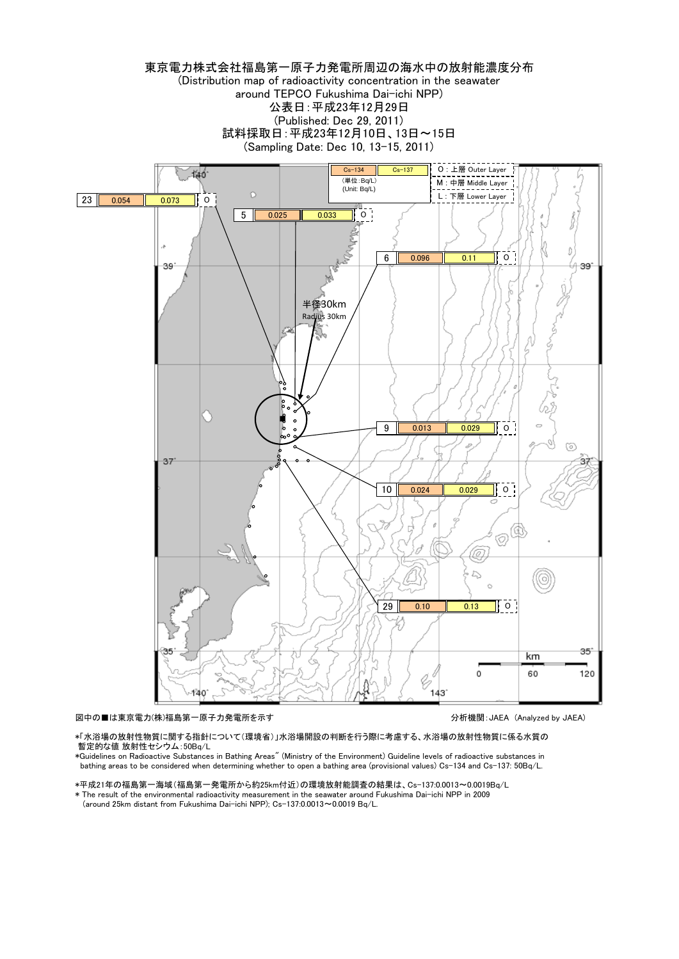

図中の■は東京電力(株)福島第一原子力発電所を示す インディング インディング 分析機関:JAEA (Analyzed by JAEA)

\*「水浴場の放射性物質に関する指針について(環境省)」水浴場開設の判断を行う際に考慮する、水浴場の放射性物質に係る水質の 暫定的な値 放射性セシウム:50Bq/L

\*Guidelines on Radioactive Substances in Bathing Areas" (Ministry of the Environment) Guideline levels of radioactive substances in bathing areas to be considered when determining whether to open a bathing area (provisional values) Cs-134 and Cs-137: 50Bq/L.

\*平成21年の福島第一海域(福島第一発電所から約25km付近)の環境放射能調査の結果は、Cs-137:0.0013~0.0019Bq/L \* The result of the environmental radioactivity measurement in the seawater around Fukushima Dai-ichi NPP in 2009

(around 25km distant from Fukushima Dai-ichi NPP); Cs-137:0.0013~0.0019 Bq/L.